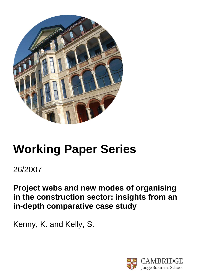

# **Working Paper Series**

# 26/2007

**Project webs and new modes of organising in the construction sector: insights from an in-depth comparative case study** 

Kenny, K. and Kelly, S.

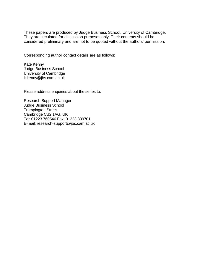These papers are produced by Judge Business School, University of Cambridge. They are circulated for discussion purposes only. Their contents should be considered preliminary and are not to be quoted without the authors' permission.

Corresponding author contact details are as follows:

Kate Kenny Judge Business School University of Cambridge k.kenny@jbs.cam.ac.uk

Please address enquiries about the series to:

Research Support Manager Judge Business School Trumpington Street Cambridge CB2 1AG, UK Tel: 01223 760546 Fax: 01223 339701 E-mail: research-support@jbs.cam.ac.uk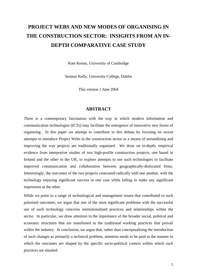# **PROJECT WEBS AND NEW MODES OF ORGANISING IN THE CONSTRUCTION SECTOR: INSIGHTS FROM AN IN-DEPTH COMPARATIVE CASE STUDY**

Kate Kenny, University of Cambridge

Seamas Kelly, University College, Dublin

This version 1 June 2004

#### **ABSTRACT**

There is a contemporary fascination with the way in which modern information and communication technologies (ICTs) may facilitate the emergence of innovative new forms of organising. In this paper we attempt to contribute to this debate by focusing on recent attempts to introduce Project Webs in the construction sector as a means of streamlining and improving the way projects are traditionally organised. We draw on in-depth, empirical evidence from interpretive studies of two high-profile construction projects, one based in Ireland and the other in the UK, to explore attempts to use such technologies to facilitate improved communication and collaboration between geographically-dislocated firms. Interestingly, the outcomes of the two projects contrasted radically with one another, with the technology enjoying significant success in one case while failing to make any significant impression at the other.

While we point to a range of technological and management issues that contributed to such polarised outcomes, we argue that one of the most significant problems with the successful use of such technology concerns institutionalised practices and relationships within the sector. In particular, we draw attention to the importance of the broader social, political and economic structures that are manifested in the traditional working practices that prevail within the industry. In conclusion, we argue that, rather than conceptualising the introduction of such changes as primarily a technical problem, attention needs to be paid to the manner in which the outcomes are shaped by the specific socio-political context within which such practices are situated.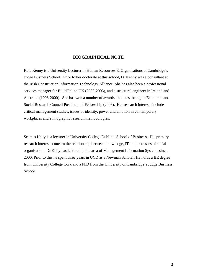#### **BIOGRAPHICAL NOTE**

Kate Kenny is a University Lecturer in Human Resources & Organisations at Cambridge's Judge Business School. Prior to her doctorate at this school, Dr Kenny was a consultant at the Irish Construction Information Technology Alliance. She has also been a professional services manager for BuildOnline UK (2000-2003), and a structural engineer in Ireland and Australia (1998-2000). She has won a number of awards, the latest being an Economic and Social Research Council Postdoctoral Fellowship (2006). Her research interests include critical management studies, issues of identity, power and emotion in contemporary workplaces and ethnographic research methodologies.

Seamas Kelly is a lecturer in University College Dublin's School of Business. His primary research interests concern the relationship between knowledge, IT and processes of social organisation. Dr Kelly has lectured in the area of Management Information Systems since 2000. Prior to this he spent three years in UCD as a Newman Scholar. He holds a BE degree from University College Cork and a PhD from the University of Cambridge's Judge Business School.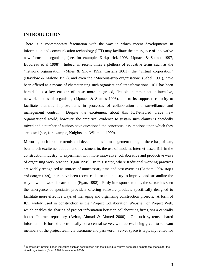#### **INTRODUCTION**

1

There is a contemporary fascination with the way in which recent developments in information and communication technology (ICT) may facilitate the emergence of innovative new forms of organising (see, for example, Kirkpatrick 1993, Lipnack & Stamps 1997, Boudreau et al 1998). Indeed, in recent times a plethora of evocative terms such as the "network organisation" (Miles & Snow 1992, Castells 2001), the "virtual corporation" (Davidow & Malone 1992), and even the "Moebius-strip organisation" (Sabel 1991), have been offered as a means of characterising such organisational transformations. ICT has been heralded as a key enabler of these more integrated, flexible, communication-intensive, network modes of organising (Lipnack & Stamps 1996), due to its supposed capacity to facilitate dramatic improvements in processes of collaboration and surveillance and management control. Despite the excitement about this ICT-enabled brave new organisational world, however, the empirical evidence to sustain such claims is decidedly mixed and a number of authors have questioned the conceptual assumptions upon which they are based (see, for example, Knights and Willmott, 1999).

Mirroring such broader trends and developments in management thought, there has, of late, been much excitement about, and investment in, the use of modern, Internet-based ICT in the construction industry<sup>1</sup> to experiment with more innovative, collaborative and productive ways of organising work practice (Egan 1998). In this sector, where traditional working practices are widely recognised as sources of unnecessary time and cost overruns (Latham 1994, Rojas and Songer 1999), there have been recent calls for the industry to improve and streamline the way in which work is carried out (Egan, 1998). Partly in response to this, the sector has seen the emergence of specialist providers offering software products specifically designed to facilitate more effective ways of managing and organising construction projects. A form of ICT widely used in construction is the 'Project Collaboration Website', or Project Web, which enables the sharing of project information between collaborating firms, via a centrally hosted Internet repository (Azhar, Ahmad & Ahmed 2000). On such systems, shared information is hosted electronically on a central server, with access being given to relevant members of the project team via username and password. Server space is typically rented for

<sup>&</sup>lt;sup>1</sup> Interestingly, project-based industries such as construction and the film industry have been cited as potential models for the virtual organisation (Grant 1998, Introna et al 2000).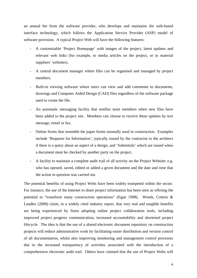an annual fee from the software provider, who develops and maintains the web-based interface technology, which follows the Application Service Provider (ASP) model of software provision. A typical Project Web will have the following features:

- A customisable 'Project Homepage' with images of the project, latest updates and relevant web links (for example, to media articles on the project, or to material suppliers' websites).
- A central document manager where files can be organised and managed by project members.
- Built-in viewing software where users can view and add comments to documents, drawings and Computer Aided Design (CAD) files regardless of the software package used to create the file.
- An automatic messaging facility that notifies team members when new files have been added to the project site. Members can choose to receive these updates by text message, email or fax.
- Online forms that resemble the paper forms normally used in construction. Examples include 'Requests for Information', typically issued by the contractor to the architect if there is a query about an aspect of a design, and 'Submittals' which are issued when a document must be checked by another party on the project.
- A facility to maintain a complete audit trail of all activity on the Project Website; e.g. who has opened, saved, edited or added a given document and the date and time that the action in question was carried out.

The potential benefits of using Project Webs have been widely trumpeted within the sector. For instance, the use of the Internet to share project information has been seen as offering the potential to "transform many construction operations" (Egan 1998). Wesek, Cottrez & Landler (2000) claim, in a widely cited industry report, that very real and tangible benefits are being experienced by firms adopting online project collaboration tools, including improved project progress communication, increased accountability and shortened project lifecycle. The idea is that the use of a shared electronic document repository on construction projects will reduce administrative work by facilitating easier distribution and version control of all documentation, whilst also improving monitoring and management control processes due to the increased transparency of activities associated with the introduction of a comprehensive electronic audit trail. Others have claimed that the use of Project Webs will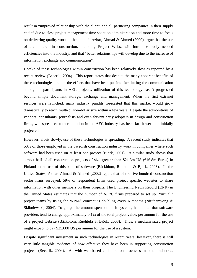result in "improved relationship with the client, and all partnering companies in their supply chain" due to "less project management time spent on administration and more time to focus on delivering quality work to the client." Azhar, Ahmad  $\&$  Ahmed (2000) argue that the use of e-commerce in construction, including Project Webs, will introduce badly needed efficiencies into the industry, and that "better relationships will develop due to the increase of information exchange and communication".

Uptake of these technologies within construction has been relatively slow as reported by a recent review (Becerik, 2004). This report states that despite the many apparent benefits of these technologies and all the efforts that have been put into facilitating the communication among the participants in AEC projects, utilization of this technology hasn't progressed beyond simple document storage, exchange and management. When the first extranet services were launched, many industry pundits forecasted that this market would grow dramatically to reach multi-billion-dollar size within a few years. Despite the admonitions of vendors, consultants, journalists and even fervent early adopters in design and construction firms, widespread customer adoption in the AEC industry has been far slower than initially projected .

However, albeit slowly, use of these technologies is spreading. A recent study indicates that 50% of those employed in the Swedish construction industry work in companies where such software had been used on at least one project (Bjork, 2001). A similar study shows that almost half of all construction projects of size greater than \$21.3m US ( $\epsilon$ 6.8m Euros) in Finland make use of this kind of software (Bäckblom, Ruohtula & Björk, 2003). In the United States, Azhar, Ahmad & Ahmed (2002) report that of the five hundred construction sector firms surveyed, 59% of respondent firms used project specific websites to share information with other members on their projects. The Engineering News Record (ENR) in the United States estimates that the number of A/E/C firms prepared to set up ''virtual'' project teams by using the WPMS concept is doubling every 6 months (Nitithamyong  $\&$ Skibniewski, 2004). To gauge the amount spent on such systems, it is noted that software providers tend to charge approximately 0.1% of the total project value, per annum for the use of a project website (Bäckblom, Ruohtula & Björk, 2003). Thus, a medium sized project might expect to pay \$25,000 US per annum for the use of a system.

Despite significant investment in such technologies in recent years, however, there is still very little tangible evidence of how effective they have been in supporting construction projects (Becerik, 2004). As with web-based collaboration processes in other industries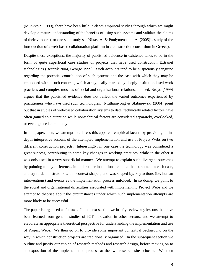(Munkvold, 1999), there have been little in-depth empirical studies through which we might develop a mature understanding of the benefits of using such systems and validate the claims of their vendors (for one such study see Nikas, A. & Poulymenakou, A. (2005)'s study of the introduction of a web-based collaboration platform in a construction consortium in Greece).

Despite these exceptions, the majority of published evidence in existence tends to be in the form of quite superficial case studies of projects that have used construction Extranet technologies (Becerik 2004, George 1999). Such accounts tend to be suspiciously sanguine regarding the potential contribution of such systems and the ease with which they may be embedded within such contexts, which are typically marked by deeply institutionalised work practices and complex mosaics of social and organisational relations. Indeed, Broyd (1999) argues that the published evidence does not reflect the varied outcomes experienced by practitioners who have used such technologies. Nitithamyong & Skibniewski (2004) point out that in studies of web-based collaboration systems to date, technically related factors have often gained sole attention while nontechnical factors are considered separately, overlooked, or even ignored completely.

In this paper, then, we attempt to address this apparent empirical lacuna by providing an indepth interpretive account of the attempted implementation and use of Project Webs on two different construction projects. Interestingly, in one case the technology was considered a great success, contributing to some key changes in working practices, while in the other it was only used in a very superficial manner. We attempt to explain such divergent outcomes by pointing to key differences in the broader institutional context that pertained in each case, and try to demonstrate how this context shaped, and was shaped by, key actions (i.e. human interventions) and events as the implementation process unfolded. In so doing, we point to the social and organisational difficulties associated with implementing Project Webs and we attempt to theorise about the circumstances under which such implementation attempts are more likely to be successful.

The paper is organised as follows. In the next section we briefly review key lessons that have been learned from general studies of ICT innovation in other sectors, and we attempt to elaborate an appropriate theoretical perspective for understanding the implementation and use of Project Webs. We then go on to provide some important contextual background on the way in which construction projects are traditionally organised. In the subsequent section we outline and justify our choice of research methods and research design, before moving on to an exposition of the implementation process at the two research sites chosen. We then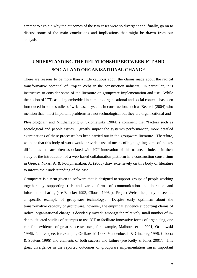attempt to explain why the outcomes of the two cases were so divergent and, finally, go on to discuss some of the main conclusions and implications that might be drawn from our analysis.

## **UNDERSTANDING THE RELATIONSHIP BETWEEN ICT AND SOCIAL AND ORGANISATIONAL CHANGE**

There are reasons to be more than a little cautious about the claims made about the radical transformative potential of Project Webs in the construction industry. In particular, it is instructive to consider some of the literature on groupware implementation and use. While the notion of ICTs as being embedded in complex organisational and social contexts has been introduced in some studies of web-based systems in construction, such as Becerik (2004) who mention that "most important problems are not technological but they are organizational and

Physiological" and Nitithamyong & Skibniewski (2004)'s comment that "factors such as sociological and people issues… greatly impact the system's performance", more detailed examinations of these processes has been carried out in the groupware literature. Therefore, we hope that this body of work would provide a useful means of highlighting some of the key difficulties that are often associated with ICT innovation of this nature. Indeed, in their study of the introduction of a web-based collaboration platform in a construction consortium in Greece, Nikas, A. & Poulymenakou, A. (2005) draw extensively on this body of literature to inform their understanding of the case.

Groupware is a term given to software that is designed to support groups of people working together, by supporting rich and varied forms of communication, collaboration and information sharing (see Baecker 1993, Ciborra 1996a). Project Webs, then, may be seen as a specific example of groupware technology. Despite early optimism about the transformative capacity of groupware, however, the empirical evidence supporting claims of radical organisational change is decidedly mixed: amongst the relatively small number of indepth, situated studies of attempts to use ICT to facilitate innovative forms of organising, one can find evidence of great successes (see, for example, Malhotra et al 2001, Orlikowski 1996), failures (see, for example, Orlikowski 1993, Vandenbosch & Ginzberg 1996, Ciborra & Suetens 1996) and elements of both success and failure (see Kelly & Jones 2001). This great divergence in the reported outcomes of groupware implementation raises important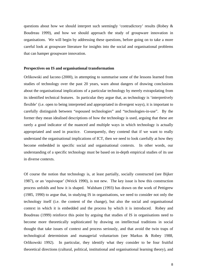questions about how we should interpret such seemingly 'contradictory' results (Robey & Boudreau 1999), and how we should approach the study of groupware innovation in organisations. We will begin by addressing these questions, before going on to take a more careful look at groupware literature for insights into the social and organisational problems that can hamper groupware innovation.

#### **Perspectives on IS and organisational transformation**

Orlikowski and Iacono (2000), in attempting to summarise some of the lessons learned from studies of technology over the past 20 years, warn about dangers of drawing conclusions about the organisational implications of a particular technology by merely extrapolating from its identified technical features. In particular they argue that, as technology is 'interpretively flexible' (i.e. open to being interpreted and appropriated in divergent ways), it is important to carefully distinguish between "espoused technologies" and "technologies-in-use". By the former they mean idealised descriptions of how the technology is used, arguing that these are rarely a good indicator of the nuanced and multiple ways in which technology is actually appropriated and used in practice. Consequently, they contend that if we want to really understand the organisational implications of ICT, then we need to look carefully at how they become embedded in specific social and organisational contexts. In other words, our understanding of a specific technology must be based on in-depth empirical studies of its use in diverse contexts.

Of course the notion that technology is, at least partially, socially constructed (see Bijker 1987), or an 'equivoque' (Weick 1990), is not new. The key issue is how this construction process unfolds and how it is shaped. Walsham (1993) has drawn on the work of Pettigrew (1985, 1990) to argue that, in studying IS in organisations, we need to consider not only the technology itself (i.e. the content of the change), but also the social and organisational context in which it is embedded and the process by which it is introduced. Robey and Boudreau (1999) reinforce this point by arguing that studies of IS in organisations need to become more theoretically sophisticated by drawing on intellectual traditions in social thought that take issues of context and process seriously, and that avoid the twin traps of technological determinism and managerial voluntarism (see Markus & Robey 1988, Orlikowski 1992). In particular, they identify what they consider to be four fruitful theoretical directions (cultural, political, institutional and organisational learning theory), and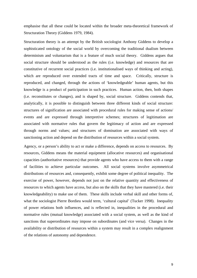emphasise that all these could be located within the broader meta-theoretical framework of Structuration Theory (Giddens 1979, 1984).

Structuration theory is an attempt by the British sociologist Anthony Giddens to develop a sophisticated ontology of the social world by overcoming the traditional dualism between determinism and voluntarism that is a feature of much social theory. Giddens argues that social structure should be understood as the rules (i.e. knowledge) and resources that are constitutive of recurrent social practices (i.e. institutionalised ways of thinking and acting), which are reproduced over extended tracts of time and space. Critically, structure is reproduced, and changed, through the actions of 'knowledgeable' human agents, but this knowledge is a product of participation in such practices. Human action, then, both shapes (i.e. reconstitutes or changes), and is shaped by, social structure. Giddens contends that, analytically, it is possible to distinguish between three different kinds of social structure: structures of signification are associated with procedural rules for making sense of actions/ events and are expressed through interpretive schemes; structures of legitimation are associated with normative rules that govern the legitimacy of action and are expressed through norms and values; and structures of domination are associated with ways of sanctioning action and depend on the distribution of resources within a social system.

Agency, or a person's ability to act or make a difference, depends on access to resources. By resources, Giddens means the material equipment (allocative resources) and organisational capacities (authoritative resources) that provide agents who have access to them with a range of facilities to achieve particular outcomes. All social systems involve asymmetrical distributions of resources and, consequently, exhibit some degree of political inequality. The exercise of power, however, depends not just on the relative quantity and effectiveness of resources to which agents have access, but also on the skills that they have mastered (i.e. their knowledgeability) to make use of them. These skills include verbal skill and other forms of, what the sociologist Pierre Bordieu would term, 'cultural capital' (Tucker 1998). Inequality of power relations both influences, and is reflected in, inequalities in the procedural and normative rules (mutual knowledge) associated with a social system, as well as the kind of sanctions that superordinates may impose on subordinates (and vice versa). Changes in the availability or distribution of resources within a system may result in a complex realignment of the relations of autonomy and dependence.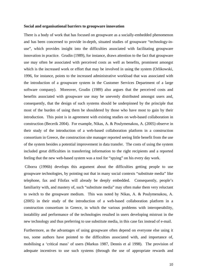#### **Social and organisational barriers to groupware innovation**

There is a body of work that has focused on groupware as a socially-embedded phenomenon and has been concerned to provide in-depth, situated studies of groupware "technology-inuse", which provides insight into the difficulties associated with facilitating groupware innovation in practice. Grudin (1989), for instance, draws attention to the fact that groupware use may often be associated with perceived costs as well as benefits, prominent amongst which is the increased work or effort that may be involved in using the system (Orlikowski, 1996, for instance, points to the increased administrative workload that was associated with the introduction of a groupware system in the Customer Services Department of a large software company). Moreover, Grudin (1989) also argues that the perceived costs and benefits associated with groupware use may be unevenly distributed amongst users and, consequently, that the design of such systems should be underpinned by the principle that most of the burden of using them be shouldered by those who have most to gain by their introduction. This point is in agreement with existing studies on web-based collaboration in construction (Becerik 2004). For example, Nikas, A. & Poulymenakou, A. (2005) observe in their study of the introduction of a web-based collaboration platform in a construction consortium in Greece, the construction site manager reported seeing little benefit from the use of the system besides a potential improvement in data transfer. The costs of using the system included great difficulties in transferring information to the right recipients and a reported feeling that the new web-based system was a tool for "spying" on his every day work.

 Ciborra (1996b) develops this argument about the difficulties getting people to use groupware technologies, by pointing out that in many social contexts "substitute media" like telephone, fax and Filofax will already be deeply embedded. Consequently, people's familiarity with, and mastery of, such "substitute media" may often make them very reluctant to switch to the groupware medium. This was noted by Nikas, A. & Poulymenakou, A. (2005) in their study of the introduction of a web-based collaboration platform in a construction consortium in Greece, in which the various problems with interoperability, instability and performance of the technologies resulted in users developing mistrust in the new technology and thus preferring to use substitute media, in this case fax instead of e-mail.

Furthermore, as the advantages of using groupware often depend on everyone else using it too, some authors have pointed to the difficulties associated with, and importance of, mobilising a 'critical mass' of users (Markus 1987, Dennis et al 1998). The provision of adequate incentives to use such systems (through the use of appropriate rewards and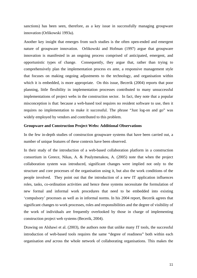sanctions) has been seen, therefore, as a key issue in successfully managing groupware innovation (Orlikowski 1993a).

Another key insight that emerges from such studies is the often open-ended and emergent nature of groupware innovation. Orlikowski and Hofman (1997) argue that groupware innovation is manifested in an ongoing process comprised of anticipated, emergent, and opportunistic types of change. Consequently, they argue that, rather than trying to comprehensively plan the implementation process ex ante, a responsive management style that focuses on making ongoing adjustments to the technology, and organisation within which it is embedded, is more appropriate. On this issue, Becerik (2004) reports that poor planning, little flexibility in implementation processes contributed to many unsuccessful implementations of project webs in the construction sector. In fact, they note that a popular misconception is that: because a web-based tool requires no resident software to use, then it requires no implementation to make it successful. The phrase "Just log-on and go" was widely employed by vendors and contributed to this problem.

#### **Groupware and Construction Project Webs: Additional Observations**

In the few in-depth studies of construction groupware systems that have been carried out, a number of unique features of these contexts have been observed.

In their study of the introduction of a web-based collaboration platform in a construction consortium in Greece, Nikas, A. & Poulymenakou, A. (2005) note that when the project collaboration system was introduced, significant changes were implied not only to the structure and core processes of the organisation using it, but also the work conditions of the people involved. They point out that the introduction of a new IT application influences roles, tasks, co-ordination activities and hence these systems necessitate the formulation of new formal and informal work procedures that need to be embedded into existing 'compulsory' processes as well as in informal norms. In his 2004 report, Becerik agrees that significant changes to work processes, roles and responsibilities and the degree of visibility of the work of individuals are frequently overlooked by those in charge of implementing construction project web systems (Becerik, 2004).

Drawing on Alshawi et al. (2003), the authors note that unlike many IT tools, the successful introduction of web-based tools requires the same "degree of readiness" both within each organisation *and* across the whole network of collaborating organisations. This makes the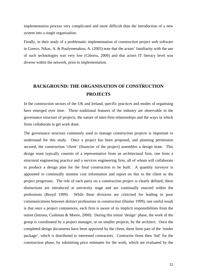implementation process very complicated and more difficult than the introduction of a new system into a single organisation.

Finally, in their study of a problematic implementation of construction project web software in Greece, Nikas, A. & Poulymenakou, A. (2005) note that the actors' familiarity with the use of such technologies was very low (Ciborra, 2000) and that actors IT literacy level was diverse within the network, prior to implementation.

### **BACKGROUND: THE ORGANISATION OF CONSTRUCTION PROJECTS**

In the construction sectors of the UK and Ireland, specific practices and modes of organising have emerged over time. These traditional features of the industry are observable in the governance structure of projects, the nature of inter-firm relationships and the ways in which firms collaborate to get work done.

The governance structure commonly used to manage construction projects is important to understand for this study. Once a project has been proposed, and planning permission secured, the construction 'client' (financier of the project) assembles a design team. This design team typically consists of a representative from an architectural firm, one from a structural engineering practice and a services engineering firm, all of whom will collaborate to produce a design plan for the final construction to be built. A quantity surveyor is appointed to continually monitor cost information and report on this to the client as the project progresses. The role of each party on a construction project is clearly defined; these distinctions are introduced at university stage and are continually enacted within the professions (Broyd 1999). While these divisions are criticised for leading to poor communications between distinct professions in construction (Hamer 1999), one useful result is that once a project commences, each firm is aware of its implicit responsibilities from the outset (Introna, Cushman & Moore, 2000). During this initial 'design' phase, the work of the group is coordinated by a project manager, or on smaller projects, by the architect. Once the completed design documents have been approved by the client, these form part of the 'tender package', which is distributed to interested contractors. Contractor firms then 'bid' for the construction phase, by submitting price estimates for the work, which are evaluated by the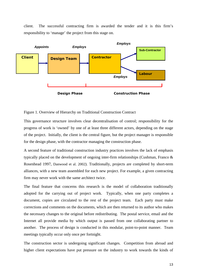client. The successful contracting firm is awarded the tender and it is this firm's responsibility to 'manage' the project from this stage on.



Figure 1. Overview of Hierarchy on Traditional Construction Contract

This governance structure involves clear decentralisation of control; responsibility for the progress of work is 'owned' by one of at least three different actors, depending on the stage of the project. Initially, the client is the central figure, but the project manager is responsible for the design phase, with the contractor managing the construction phase.

A second feature of traditional construction industry practices involves the lack of emphasis typically placed on the development of ongoing inter-firm relationships (Cushman, Franco & Rosenhead 1997, Danwood et al. 2002). Traditionally, projects are completed by short-term alliances, with a new team assembled for each new project. For example, a given contracting firm may never work with the same architect twice.

The final feature that concerns this research is the model of collaboration traditionally adopted for the carrying out of project work. Typically, when one party completes a document, copies are circulated to the rest of the project team. Each party must make corrections and comments on the documents, which are then returned to its author who makes the necessary changes to the original before redistributing. The postal service, email and the Internet all provide media by which output is passed from one collaborating partner to another. The process of design is conducted in this modular, point-to-point manner. Team meetings typically occur only once per fortnight.

The construction sector is undergoing significant changes. Competition from abroad and higher client expectations have put pressure on the industry to work towards the kinds of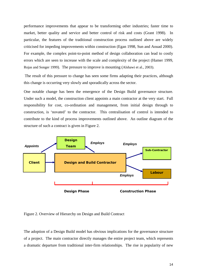performance improvements that appear to be transforming other industries; faster time to market, better quality and service and better control of risk and costs (Grant 1998). In particular, the features of the traditional construction process outlined above are widely criticised for impeding improvements within construction (Egan 1998, Sun and Aouad 2000). For example, the complex point-to-point method of design collaboration can lead to costly errors which are seen to increase with the scale and complexity of the project (Hamer 1999, Rojas and Songer 1999). The pressure to improve is mounting (Alshawi et al., 2003).

 The result of this pressure to change has seen some firms adapting their practices, although this change is occurring very slowly and sporadically across the sector.

One notable change has been the emergence of the Design Build governance structure. Under such a model, the construction client appoints a main contractor at the very start. Full responsibility for cost, co-ordination and management, from initial design through to construction, is 'novated' to the contractor. This centralisation of control is intended to contribute to the kind of process improvements outlined above. An outline diagram of the structure of such a contract is given in Figure 2.



Figure 2. Overview of Hierarchy on Design and Build Contract

The adoption of a Design Build model has obvious implications for the governance structure of a project. The main contractor directly manages the entire project team, which represents a dramatic departure from traditional inter-firm relationships. The rise in popularity of new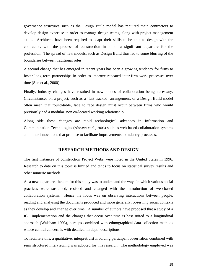governance structures such as the Design Build model has required main contractors to develop design expertise in order to manage design teams, along with project management skills. Architects have been required to adapt their skills to be able to design with the contractor, with the process of construction in mind, a significant departure for the profession. The spread of new models, such as Design Build thus led to some blurring of the boundaries between traditional roles.

A second change that has emerged in recent years has been a growing tendency for firms to foster long term partnerships in order to improve repeated inter-firm work processes over time (Sun et al., 2000).

Finally, industry changes have resulted in new modes of collaboration being necessary. Circumstances on a project, such as a 'fast-tracked' arrangement, or a Design Build model often mean that round-table, face to face design must occur between firms who would previously had a modular, non co-located working relationship.

Along side these changes are rapid technological advances in Information and Communication Technologies (Alshawi et al., 2003) such as web based collaboration systems and other innovations that promise to facilitate improvements to industry processes.

#### **RESEARCH METHODS AND DESIGN**

The first instances of construction Project Webs were noted in the United States in 1996. Research to date on this topic is limited and tends to focus on statistical survey results and other numeric methods.

As a new departure, the aim for this study was to understand the ways in which various social practices were sustained, resisted and changed with the introduction of web-based collaboration systems. Hence the focus was on observing interactions between people, reading and analysing the documents produced and more generally, observing social contexts as they develop and change over time. A number of authors have proposed that a study of a ICT implementation and the changes that occur over time is best suited to a longitudinal approach (Walsham 1993), perhaps combined with ethnographical data collection methods whose central concern is with detailed, in depth descriptions.

To facilitate this, a qualitative, interpretivist involving participant observation combined with semi structured interviewing was adopted for this research. The methodology employed was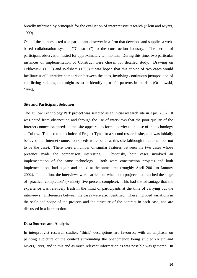broadly informed by principals for the evaluation of interpretivist research (Klein and Myers, 1999).

One of the authors acted as a participant observer in a firm that develops and supplies a webbased collaboration system ("Construct") to the construction industry. The period of participant observation lasted for approximately ten months. During this time, two particular instances of implementation of Construct were chosen for detailed study. Drawing on Orlikowski (1993) and Walsham (1993) it was hoped that this choice of two cases would facilitate useful iterative comparison between the sites, involving continuous juxtaposition of conflicting realities, that might assist in identifying useful patterns in the data (Orlikowski, 1993).

#### **Site and Participant Selection**

The Tullow Technology Park project was selected as an initial research site in April 2002. It was noted from observation and through the use of interviews that the poor quality of the Internet connection speeds at this site appeared to form a barrier to the use of the technology at Tullow. This led to the choice of Project Tyne for a second research site, as it was initially believed that Internet connection speeds were better at this site (although this turned out not to be the case). There were a number of similar features between the two cases whose presence made the comparison interesting. Obviously, both cases involved an implementation of the same technology. Both were construction projects and both implementations had begun and ended at the same time (roughly April 2001 to January 2002). In addition, the interviews were carried out when both projects had reached the stage of 'practical completion' (~ ninety five percent complete). This had the advantage that the experience was relatively fresh in the mind of participants at the time of carrying out the interviews. Differences between the cases were also identified. These included variations in the scale and scope of the projects and the structure of the contract in each case, and are discussed in a later section.

#### **Data Sources and Analysis**

In interpretivist research studies, "thick" descriptions are favoured, with an emphasis on painting a picture of the context surrounding the phenomenon being studied (Klein and Myers, 1999) and to this end as much relevant information as was possible was gathered. In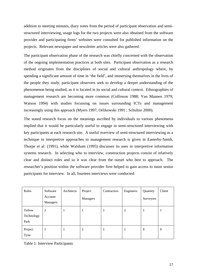addition to meeting minutes, diary notes from the period of participant observation and semistructured interviewing, usage logs for the two projects were also obtained from the software provider and participating firms' websites were consulted for published information on the projects. Relevant newspaper and newsletter articles were also gathered.

The participant observation phase of the research was chiefly concerned with the observation of the ongoing implementation practices at both sites. Participant observation as a research method originates from the disciplines of social and cultural anthropology where, by spending a significant amount of time in 'the field', and immersing themselves in the lives of the people they study, participant observers seek to develop a deeper understanding of the phenomenon being studied, as it is located in its social and cultural context. Ethnographies of management research are becoming more common (Collinson 1988; Van Maanen 1979; Watson 1994) with studies focussing on issues surrounding ICTs and management increasingly using this approach (Myers 1997; Orlikowski 1991 ; Schultze 2000).

The stated research focus on the meanings ascribed by individuals to various phenomena implied that it would be particularly useful to engage in semi-structured interviewing with key participants at each research site. A useful overview of semi-structured interviewing as a technique in interpretive approaches to management research is given in Easterby-Smith, Thorpe et al. (1991), while Walsham (1995) discusses its uses in interpretive information systems research. In selecting who to interview, construction projects consist of relatively clear and distinct roles and so it was clear from the outset who best to approach. The researcher's position within the software provider firm helped to gain access to more senior participants for interview. In all, fourteen interviews were conducted:

| Roles                        | Software<br>Account<br>Managers | Architects | Project<br>Managers | Contractors | Engineers | Quantity<br>Surveyors | Client           |
|------------------------------|---------------------------------|------------|---------------------|-------------|-----------|-----------------------|------------------|
| Tullow<br>Technology<br>Park | $\overline{2}$                  |            |                     |             | 2         |                       |                  |
| Project<br>Tyne              |                                 |            | 2                   |             |           | $\theta$              | $\boldsymbol{0}$ |

Table 1: Interview Participants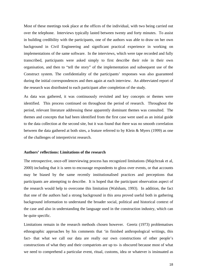Most of these meetings took place at the offices of the individual, with two being carried out over the telephone. Interviews typically lasted between twenty and forty minutes. To assist in building credibility with the participants, one of the authors was able to draw on her own background in Civil Engineering and significant practical experience in working on implementations of the same software. In the interviews, which were tape recorded and fully transcribed, participants were asked simply to first describe their role in their own organisation, and then to "tell the story" of the implementation and subsequent use of the Construct system. The confidentiality of the participants' responses was also guaranteed during the initial correspondences and then again at each interview. An abbreviated report of the research was distributed to each participant after completion of the study.

As data was gathered, it was continuously revisited and key concepts or themes were identified. This process continued on throughout the period of research. Throughout the period, relevant literature addressing these apparently dominant themes was consulted. The themes and concepts that had been identified from the first case were used as an initial guide to the data collection at the second site, but it was found that there was no smooth correlation between the data gathered at both sites, a feature referred to by Klein & Myers (1999) as one of the challenges of interpretivist research.

#### **Authors' reflections: Limitations of the research**

The retrospective, once-off interviewing process has recognized limitations (Majchrzak et al, 2000) including that it is seen to encourage respondents to gloss over events, or that accounts may be biased by the same recently institutionalised practices and perceptions that participants are attempting to describe. It is hoped that the participant observation aspect of the research would help to overcome this limitation (Walsham, 1993). In addition, the fact that one of the authors had a strong background in this area proved useful both in gathering background information to understand the broader social, political and historical context of the case and also in understanding the language used in the construction industry, which can be quite specific.

Limitations remain in the research methods chosen however. Geertz (1973) problematises ethnographic approaches by his comments that 'in finished anthropological writings, this fact- that what we call our data are really our own constructions of other people's constructions of what they and their compatriots are up to- is obscured because most of what we need to comprehend a particular event, ritual, customs, idea or whatever is insinuated as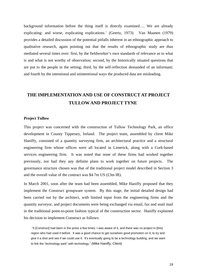background information before the thing itself is directly examined…. We are already explicating: and worse, explicating explications.' (Geertz, 1973). Van Maanen (1979) provides a detailed discussion of the potential pitfalls inherent in an ethnographic approach to qualitative research, again pointing out that the results of ethnographic study are thus mediated several times over: first, by the fieldworker's own standards of relevance as to what is and what is not worthy of observation; second, by the historically situated questions that are put to the people in the setting; third, by the self-reflection demanded of an informant; and fourth by the intentional and unintentional ways the produced data are misleading.

# **THE IMPLEMENTATION AND USE OF CONSTRUCT AT PROJECT TULLOW AND PROJECT TYNE**

#### **Project Tullow**

This project was concerned with the construction of Tullow Technology Park, an office development in County Tipperary, Ireland. The project team, assembled by client Mike Haniffy, consisted of a quantity surveying firm, an architectural practice and a structural engineering firm whose offices were all located in Limerick, along with a Cork-based services engineering firm. It was noted that none of these firms had worked together previously, nor had they any definite plans to work together on future projects. The governance structure chosen was that of the traditional project model described in Section 3 and the overall value of the contract was \$4.7m US (£3m IR).

In March 2001, soon after the team had been assembled, Mike Haniffy proposed that they implement the Construct groupware system. By this stage, the initial detailed design had been carried out by the architect, with limited input from the engineering firms and the quantity surveyor, and project documents were being exchanged via email, fax and snail mail in the traditional point-to-point fashion typical of the construction sector. Haniffy explained his decision to implement Construct as follows:

 "It [Construct] had been in the press a few times; I was aware of it, and there was no project in [this] region who had used it before. It was a good chance to get ourselves good promotion on it; to try and give it a shot and see if we could use it. It's eventually going to be a technology building, and we want to link the "technology park" with technology." (Mike Haniffy, Client)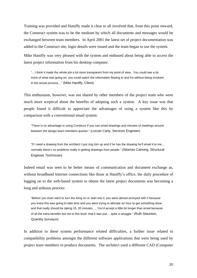Training was provided and Haniffy made it clear to all involved that, from this point onward, the Construct system was to be the medium by which all documents and messages would be exchanged between team members. In April 2001 the latest set of project documentation was added to the Construct site, login details were issued and the team began to use the system.

Mike Haniffy was very pleased with the system and enthused about being able to access the latest project information from his desktop computer.

"…I think it made the whole job a lot more transparent from my point of view. You could see a lot more of what was going on; you could watch the information flowing to and fro without being involved in the actual process…" (Mike Haniffy, Client)

This enthusiasm, however, was not shared by other members of the project team who were much more sceptical about the benefits of adopting such a system. A key issue was that people found it difficult to appreciate the advantages of using a system like this by comparison with a conventional email system:

"There is no advantage in using Construct if you can email drawings and minutes of meetings around between the design team members quicker." (Lorcan Carty, Services Engineer)

"If I need a drawing from the architect I just ring him up and if he has the drawing he'll email it to me… normally there's no problems really in getting drawings from people." (Séamas Canning, Structural Engineer Technician)

Indeed email was seen to be better means of communication and document exchange as, without broadband Internet connections like those at Haniffy's office, the daily procedure of logging on to the web-based system to obtain the latest project documents was becoming a long and arduous process:

"Before you even went to turn the thing on or start into it, you were almost annoyed with it because you knew this was going to take time and you were trying to allocate an hour to get something done and that really should be taking 15, 20 minutes. …You'd accept a little bit longer than email because of all the extra benefits but not to this level, that it was just… quite a struggle." (Ruth Staunton, Quantity Surveyor)

In addition to these system performance related difficulties, a further issue related to compatibility problems amongst the different software applications that were being used by project team members to produce documents. The architect used a different CAD (Computer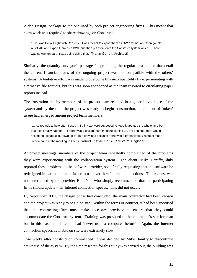Aided Design) package to the one used by both project engineering firms. This meant that extra work was required to share drawings on Construct.

"…If I was to do it right with Construct, I was meant to export them as DWG format and then go into AutoCAD and export them as a DWF and then put them onto the Construct system which… There was no way on earth I was going doing that." (Martin Garrett, Architect)

Similarly, the quantity surveyor's package for producing the regular cost reports that detail the current financial status of the ongoing project was not compatible with the others' systems. A tentative effort was made to overcome this incompatibility by experimenting with alternative file formats, but this was soon abandoned as the team resorted to circulating paper reports instead.

The frustration felt by members of the project team resulted in a general avoidance of the system and by the time the project was ready to begin construction, an element of 'token' usage had emerged among project team members.

"… As regards to how often I used it, I think we were supposed to keep it updated the whole time but that didn't really happen… If there was a design team meeting coming up, the engineer here would ask me to upload all our own up-to-date drawings because there would probably be a request made by someone at the meeting to keep Construct up to date. " (SG, Structural Engineer)

At project meetings, members of the project team repeatedly complained of the problems they were experiencing with the collaboration system. The client, Mike Haniffy, duly reported these problems to the software provider, specifically requesting that the software be redesigned in parts to make it faster to use over slow Internet connections. This request was not entertained by the provider BuildNet, who simply recommended that the participating firms should update their Internet connection speeds. This did not occur.

By September 2001, the design phase had concluded, the main contractor had been chosen and the project was ready to begin on site. Within the terms of contract, it had been specified that the contracting firm must make necessary provision to ensure that they could accommodate the Construct system. Training was provided to the contractor's site foreman but in this case, the foreman had 'never used a computer before'. Again, the Internet connection speeds available on site were extremely slow.

Two weeks after construction commenced, it was decided by Mike Haniffy to discontinue active use of the system. By the time research for this study was carried out, the building was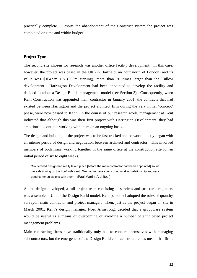practically complete. Despite the abandonment of the Construct system the project was completed on time and within budget.

#### **Project Tyne**

The second site chosen for research was another office facility development. In this case, however, the project was based in the UK (in Hartfield, an hour north of London) and its value was \$104.9m US (£60m sterling), more than 20 times larger than the Tullow development. Harrington Development had been appointed to develop the facility and decided to adopt a Design Build management model (see Section 3). Consequently, when Kent Construction was appointed main contractor in January 2001, the contracts that had existed between Harrington and the project architect firm during the very initial 'concept' phase, were now passed to Kent. In the course of our research work, management at Kent indicated that although this was their first project with Harrington Development, they had ambitions to continue working with them on an ongoing basis.

The design and building of the project was to be fast-tracked and so work quickly began with an intense period of design and negotiation between architect and contractor. This involved members of both firms working together in the same office at the construction site for an initial period of six to eight weeks.

"No detailed design had really taken place [before the main contractor had been appointed] so we were designing on the hoof with Kent. We had to have a very good working relationship and very good communications with them." (Paul Martin, Architect)

As the design developed, a full project team consisting of services and structural engineers was assembled. Under the Design Build model, Kent personnel adopted the roles of quantity surveyor, main contractor and project manager. Then, just as the project began on site in March 2001, Kent's design manager, Noel Armstrong, decided that a groupware system would be useful as a means of overcoming or avoiding a number of anticipated project management problems.

Main contracting firms have traditionally only had to concern themselves with managing subcontractors, but the emergence of the Design Build contract structure has meant that firms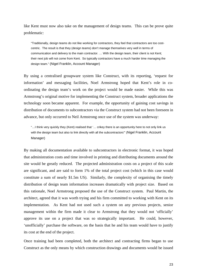like Kent must now also take on the management of design teams. This can be prove quite problematic:

"Traditionally, design teams do not like working for contractors, they feel that contractors are too costcentric. The result is that they (design teams) don't manage themselves very well in terms of communication and delivery to the main contractor. … With the design team, their client is not Kent; their next job will not come from Kent. So typically contractors have a much harder time managing the design team." (Nigel Franklin, Account Manager)

By using a centralised groupware system like Construct, with its reporting, 'request for information' and messaging facilities, Noel Armstrong hoped that Kent's role in coordinating the design team's work on the project would be made easier. While this was Armstrong's original motive for implementing the Construct system, broader applications the technology soon became apparent. For example, the opportunity of gaining cost savings in distribution of documents to subcontractors via the Construct system had not been foreseen in advance, but only occurred to Neil Armstrong once use of the system was underway:

"…I think very quickly they (Kent) realised that '… crikey there is an opportunity here to not only link us with the design team but also to link directly with all the subcontractors" (Nigel Franklin, Account Manager)

By making all documentation available to subcontractors in electronic format, it was hoped that administration costs and time involved in printing and distributing documents around the site would be greatly reduced. The projected administration costs on a project of this scale are significant, and are said to form 1% of the total project cost (which in this case would constitute a sum of nearly \$1.5m US). Similarly, the complexity of organising the timely distribution of design team information increases dramatically with project size. Based on this rationale, Noel Armstrong proposed the use of the Construct system. Paul Martin, the architect, agreed that it was worth trying and his firm committed to working with Kent on its implementation. As Kent had not used such a system on any previous projects, senior management within the firm made it clear to Armstrong that they would not 'officially' approve its use on a project that was so strategically important. He could, however, 'unofficially' purchase the software, on the basis that he and his team would have to justify its cost at the end of the project.

Once training had been completed, both the architect and contracting firms began to use Construct as the only means by which construction drawings and documents would be issued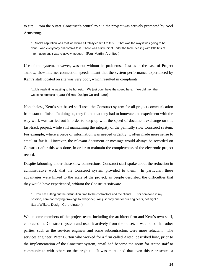to site. From the outset, Construct's central role in the project was actively promoted by Noel Armstrong.

"…Noel's aspiration was that we would all totally commit to this… That was the way it was going to be done. And everybody did commit to it. There was a little bit of under the table dealing with little bits of information but it was relatively modest." (Paul Martin, Architect)

Use of the system, however, was not without its problems. Just as in the case of Project Tullow, slow Internet connection speeds meant that the system performance experienced by Kent's staff located on site was very poor, which resulted in complaints.

"…It is really time wasting to be honest.... We just don't have the speed here. If we did then that would be fantastic." (Lara Wilkes, Design Co-ordinator)

Nonetheless, Kent's site-based staff used the Construct system for all project communication from start to finish. In doing so, they found that they had to innovate and experiment with the way work was carried out in order to keep up with the speed of document exchange on this fast-track project, while still maintaining the integrity of the painfully slow Construct system. For example, where a piece of information was needed urgently, it often made more sense to email or fax it. However, the relevant document or message would always be recorded on Construct after this was done, in order to maintain the completeness of the electronic project record.

Despite labouring under these slow connections, Construct staff spoke about the reduction in administrative work that the Construct system provided to them. In particular, these advantages were linked to the scale of the project, as people described the difficulties that they would have experienced, *without* the Construct software.

"… You *are* cutting out the distribution time to the contractors and the clients …. For someone in my position, I am not copying drawings to everyone; I will just copy one for our engineers, not eight." (Lara Wilkes, Design Co-ordinator )

While some members of the project team, including the architect firm and Kent's own staff, embraced the Construct system and used it actively from the outset, it was noted that other parties, such as the services engineer and some subcontractors were more reluctant. The services engineer, Peter Burton who worked for a firm called Antec, described how, prior to the implementation of the Construct system, email had become the norm for Antec staff to communicate with others on the project. It was mentioned that even this represented a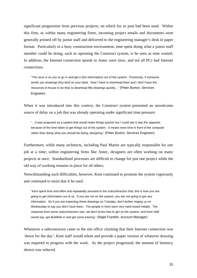significant progression from previous projects, on which fax or post had been used. Within this firm, as within many engineering firms, incoming project emails and documents were generally printed off by junior staff and delivered to the engineering manager's desk in paper format. Particularly in a busy construction environment, time spent doing what a junior staff member could be doing, such as operating the Construct system, is be seen as time wasted. In addition, the Internet connection speeds in Antec were slow, and not all PCs had Internet connections.

"The onus is on *you* to go in and get it (the information) out of the system. Previously, if someone sends you drawings they land on your desk. Now I have to download them and I don't have the resources in-house to do that; to download fifty drawings quickly…" (Peter Burton, Services Engineer)

When it was introduced into this context, the Construct system presented an unwelcome source of delay on a job that was already operating under significant time pressure:

"…It was proposed as a system that would make things quicker but I could see it was the opposite; because of the time taken to get things out of the system. It meant more time in front of the computer rather than doing what you should be doing; designing." (Peter Burton, Services Engineer)

Furthermore, while many architects, including Paul Martin are typically responsible for *one*  job at a time; within engineering firms like Antec, designers are often working on many projects at once. Standardised processes are difficult to change for just one project while the old way of working remains in place for all others.

Notwithstanding such difficulties, however, Kent continued to promote the system vigorously and continued to insist that it be used.

"Kent spent time and effort and repeatedly stressed to the subcontractors that; this is how you are going to get information out of us. If you are not on the system, you are not going to get any information. So if you are expecting these drawings on Tuesday, don't bother ringing us on Wednesday to say you don't have them. The people in Kent were very hard-nosed initially. The response from some subcontractors was; we don't know how to get on the system, and Kent staff would say, get BuildNet in and get some training." (Nigel Franklin, Account Manager)

Whenever a subcontractor came to the site office claiming that their Internet connection was 'down for the day', Kent staff would relent and provide a paper version of whatever drawing was required to progress with the work. As the project progressed, the amount of leniency shown was reduced.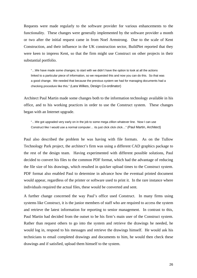Requests were made regularly to the software provider for various enhancements to the functionality. These changes were generally implemented by the software provider a month or two after the initial request came in from Noel Armstrong. Due to the scale of Kent Construction, and their influence in the UK construction sector, BuildNet reported that they were keen to impress Kent, so that the firm might use Construct on other projects in their substantial portfolio.

"…We have made some changes; to start with we didn't have the option to look at all the actions linked to a particular piece of information, so we requested this and now you can do this. So that was a good change. We needed that because the previous system we had for managing documents had a checking procedure like this." (Lara Wilkes, Design Co-ordinator)

Architect Paul Martin made some changes both to the information technology available in his office, and to his working practices in order to use the Construct system. These changes began with an Internet upgrade.

"…We got upgraded very early on in the job to some mega zillion whatever line. Now I can use Construct like I would use a normal computer… its just click click click…" (Paul Martin, Architect)

Paul also described the problem he was having with file formats. As on the Tullow Technology Park project, the architect's firm was using a different CAD graphics package to the rest of the design team. Having experimented with different possible solutions, Paul decided to convert his files to the common PDF format, which had the advantage of reducing the file size of his drawings, which resulted in quicker upload times to the Construct system. PDF format also enabled Paul to determine in advance how the eventual printed document would appear, regardless of the printer or software used to print it. In the rare instance where individuals required the actual files, these would be converted and sent.

A further change concerned the way Paul's office used Construct. In many firms using systems like Construct, it is the junior members of staff who are required to access the system and retrieve the latest information for reporting to senior management. In contrast to this, Paul Martin had decided from the outset to be his firm's main user of the Construct system. Rather than request others to go into the system and retrieve the drawings he needed, he would log in, respond to his messages and retrieve the drawings himself. He would ask his technicians to email completed drawings and documents to him, he would then check these drawings and if satisfied, upload them himself to the system.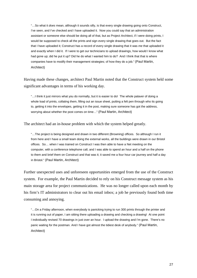"…So what it *does* mean, although it sounds silly, is that every single drawing going onto Construct, I've seen, and I've checked and I have uploaded it. Now you could say that an administration assistant or someone else should be doing all of that, but as Project Architect, if I were doing prints, I would be supposed to check all the prints and sign every single drawing that goes out. But the fact that I have uploaded it; Construct has a record of every single drawing that it was *me* that uploaded it and exactly when I did it. If I were to get our technicians to upload drawings, how would I know what had gone up; did he put it up? Did he do what I wanted him to do? And I think that that is where companies have to modify their management strategies; of how they do a job." (Paul Martin, Architect)

Having made these changes, architect Paul Martin noted that the Construct system held some significant advantages in terms of his working day.

"…I think it just mirrors what you do normally, but it is easier to do! The whole palaver of doing a whole load of prints, collating them, filling out an issue sheet, putting a felt pen through who its going to, getting it into the envelopes, getting it in the post, making sure someone has got the address, worrying about whether the post comes on time…" (Paul Martin, Architect)

The architect had an in-house problem with which the system helped greatly.

"…The project is being designed and drawn in two different (Browning) offices. So although I run it from here and I have a small team doing the external works, all the buildings were drawn in our Bristol offices. So… when I was trained on Construct I was then able to have a Net meeting on the computer, with a conference telephone call, and I was able to spend an hour and a half on the phone to them and brief them on Construct and that was it; it saved me a four hour car journey and half a day in Bristol." (Paul Martin, Architect)

Further unexpected uses and unforeseen opportunities emerged from the use of the Construct system. For example, the Paul Martin decided to rely on his Construct message system as his main storage area for project communications. He was no longer called upon each month by his firm's IT administrators to clear out his email inbox; a job he previously found both time consuming and annoying.

"…On a Friday afternoon, when everybody is panicking trying to run 300 prints through the printer and it is running out of paper, I am sitting there uploading a drawing and checking a drawing! At one point I individually revised 70 drawings in just over an hour. I upload the drawing and I'm gone. There's no panic waiting for the postman. And I have got almost the tidiest desk of anybody." (Paul Martin, Architect)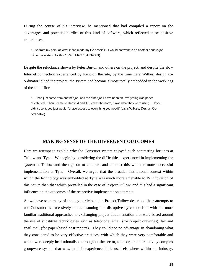During the course of his interview, he mentioned that had compiled a report on the advantages and potential hurdles of this kind of software, which reflected these positive experiences,

"…So from my point of view, it has made my life possible. I would not want to do another serious job without a system like this." (Paul Martin, Architect)

Despite the reluctance shown by Peter Burton and others on the project, and despite the slow Internet connection experienced by Kent on the site, by the time Lara Wilkes, design coordinator joined the project; the system had become almost totally embedded in the workings of the site offices.

"… I had just come from another job, and the other job I have been on, everything was paper distributed. Then I came to Hartfield and it just was the norm, it was what they were using…. If you didn't use it, you just wouldn't have access to everything you need!" (Lara Wilkes, Design Coordinator)

#### **MAKING SENSE OF THE DIVERGENT OUTCOMES**

Here we attempt to explain why the Construct system enjoyed such contrasting fortunes at Tullow and Tyne. We begin by considering the difficulties experienced in implementing the system at Tullow and then go on to compare and contrast this with the more successful implementation at Tyne. Overall, we argue that the broader institutional context within which the technology was embedded at Tyne was much more amenable to IS innovation of this nature than that which prevailed in the case of Project Tullow, and this had a significant influence on the outcomes of the respective implementation attempts.

As we have seen many of the key participants in Project Tullow described their attempts to use Construct as excessively time-consuming and disruptive by comparison with the more familiar traditional approaches to exchanging project documentation that were based around the use of substitute technologies such as telephone, email (for project drawings), fax and snail mail (for paper-based cost reports). They could see no advantage in abandoning what they considered to be very effective practices, with which they were very comfortable and which were deeply institutionalised throughout the sector, to incorporate a relatively complex groupware system that was, in their experience, little used elsewhere within the industry.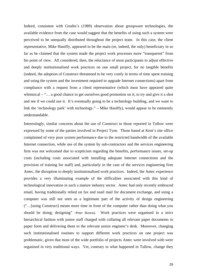Indeed, consistent with Grudin's (1989) observation about groupware technologies, the available evidence from the case would suggest that the benefits of using such a system were perceived to be unequally distributed throughout the project team. In this case, the client representative, Mike Haniffy, appeared to be the main (or, indeed, the only) beneficiary in so far as he claimed that the system made the project work processes more "transparent" from his point of view. All considered, then, the reluctance of most participants to adjust effective and deeply institutionalised work practices on one small project, for no tangible benefits (indeed, the adoption of Construct threatened to be very costly in terms of time spent training and using the system and the investment required to upgrade Internet connections) apart from compliance with a request from a client representative (which must have appeared quite whimsical – "... a good chance to get ourselves good promotion on it; to try and give it a shot and see if we could use it. It's eventually going to be a technology building, and we want to link the 'technology park' with technology." – Mike Haniffy), would appear to be eminently understandable.

Interestingly, similar concerns about the use of Construct to those reported in Tullow were expressed by some of the parties involved in Project Tyne. Those based at Kent's site office complained of very poor system performance due to the restricted bandwidth of the available Internet connection, while use of the system by sub-contractors and the services engineering firm was not welcomed due to scepticism regarding the benefits, performance issues, set-up costs (including costs associated with installing adequate Internet connections and the provision of training for staff) and, particularly in the case of the services engineering firm Antec, the disruption to deeply institutionalised work practices. Indeed, the Antec experience provides a very illuminating example of the difficulties associated with this kind of technological innovation in such a mature industry sector. Antec had only recently embraced email, having traditionally relied on fax and snail mail for document exchange, and using a computer was still not seen as a legitimate part of the activity of design engineering ("…[using Construct] meant more time in front of the computer rather than doing what you should be doing; designing" -Peter Burton). Work practices were organised in a strict hierarchical fashion with junior staff charged with collating all relevant paper documents in paper form and delivering them to the relevant senior engineer's desk. Moreover, changing such institutionalised routines to support different work practices on one project was problematic, given that most of the wide portfolio of projects Antec were involved with were organised in very traditional ways. Yet, contrary to what happened in Tullow, change they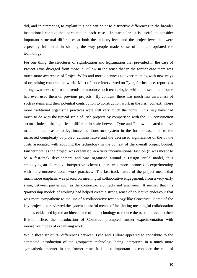did, and in attempting to explain this one can point to distinctive differences in the broader institutional context that pertained in each case. In particular, it is useful to consider important structural differences at both the industry-level and the project-level that were especially influential in shaping the way people made sense of and appropriated the technology.

For one thing, the structures of signification and legitimation that prevailed in the case of Project Tyne diverged from those in Tullow in the sense that in the former case there was much more awareness of Project Webs and more openness to experimenting with new ways of organising construction work. Most of those interviewed on Tyne, for instance, reported a strong awareness of broader trends to introduce such technologies within the sector and some had even used them on previous projects. By contrast, there was much less awareness of such systems and their potential contribution to construction work in the Irish context, where more traditional organising practices were still very much the norm. This may have had much to do with the typical scale of Irish projects by comparison with the UK construction sector. Indeed, the significant different in scale between Tyne and Tullow appeared to have made it much easier to legitimate the Construct system in the former case, due to the increased complexity of project administrative and the decreased significance of the of the costs associated with adopting the technology in the context of the overall project budget. Furthermore, as the project was organised in a very unconventional fashion (it was meant to be a fast-track development and was organised around a Design Build model, thus embodying an alternative interpretive scheme), there was more openness to experimenting with more unconventional work practices. The fast-track nature of the project meant that much more emphasis was placed on meaningful collaborative engagement, from a very early stage, between parties such as the contractor, architects and engineers. It seemed that this 'partnership model' of working had helped create a strong sense of collective endeavour that was more sympathetic to the use of a collaborative technology like Construct. Some of the key project actors viewed the system as useful means of facilitating meaningful collaboration and, as evidenced by the architects' use of the technology to reduce the need to travel to their Bristol office, the introduction of Construct prompted further experimentation with innovative modes of organising work.

While these structural differences between Tyne and Tullow appeared to contribute to the attempted introduction of the groupware technology being interpreted in a much more sympathetic manner in the former case, it is also important to consider the role of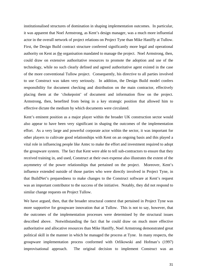institutionalised structures of domination in shaping implementation outcomes. In particular, it was apparent that Noel Armstrong, as Kent's design manager, was a much more influential actor in the overall network of project relations on Project Tyne than Mike Haniffy at Tullow. First, the Design Build contract structure conferred significantly more legal and operational authority on Kent as the organisation mandated to manage the project. Noel Armstrong, then, could draw on extensive authoritative resources to promote the adoption and use of the technology, while no such clearly defined and agreed authoritative agent existed in the case of the more conventional Tullow project. Consequently, his directive to all parties involved to use Construct was taken very seriously. In addition, the Design Build model confers responsibility for document checking and distribution on the main contractor, effectively placing them at the 'chokepoint' of document and information flow on the project. Armstrong, then, benefited from being in a key strategic position that allowed him to effective dictate the medium by which documents were circulated.

Kent's eminent position as a major player within the broader UK construction sector would also appear to have been very significant in shaping the outcomes of the implementation effort. As a very large and powerful corporate actor within the sector, it was important for other players to cultivate good relationships with Kent on an ongoing basis and this played a vital role in influencing people like Antec to make the effort and investment required to adopt the groupware system. The fact that Kent were able to tell sub-contractors to ensure that they received training in, and used, Construct at their own expense also illustrates the extent of the asymmetry of the power relationships that pertained on the project. Moreover, Kent's influence extended outside of those parties who were directly involved in Project Tyne, in that BuildNet's preparedness to make changes to the Construct software at Kent's request was an important contributor to the success of the initiative. Notably, they did not respond to similar change requests on Project Tullow.

We have argued, then, that the broader structural context that pertained in Project Tyne was more supportive for groupware innovation that at Tullow. This is not to say, however, that the outcomes of the implementation processes were determined by the structural issues described above. Notwithstanding the fact that he could draw on much more effective authoritative and allocative resources than Mike Haniffy, Noel Armstrong demonstrated great political skill in the manner in which he managed the process at Tyne. In many respects, the groupware implementation process conformed with Orlikowski and Hofman's (1997) improvisational approach. The original decision to implement Construct was an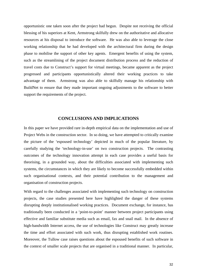opportunistic one taken soon after the project had begun. Despite not receiving the official blessing of his superiors at Kent, Armstrong skilfully drew on the authoritative and allocative resources at his disposal to introduce the software. He was also able to leverage the close working relationship that he had developed with the architectural firm during the design phase to mobilise the support of other key agents. Emergent benefits of using the system, such as the streamlining of the project document distribution process and the reduction of travel costs due to Construct's support for virtual meetings, became apparent as the project progressed and participants opportunistically altered their working practices to take advantage of them. Armstrong was also able to skilfully manage his relationship with BuildNet to ensure that they made important ongoing adjustments to the software to better support the requirements of the project.

#### **CONCLUSIONS AND IMPLICATIONS**

In this paper we have provided rare in-depth empirical data on the implementation and use of Project Webs in the construction sector. In so doing, we have attempted to critically examine the picture of the 'espoused technology' depicted in much of the popular literature, by carefully studying the 'technology-in-use' on two construction projects. The contrasting outcomes of the technology innovation attempt in each case provides a useful basis for theorising, in a grounded way, about the difficulties associated with implementing such systems, the circumstances in which they are likely to become successfully embedded within such organisational contexts, and their potential contribution to the management and organisation of construction projects.

With regard to the challenges associated with implementing such technology on construction projects, the case studies presented here have highlighted the danger of these systems disrupting deeply institutionalised working practices. Document exchange, for instance, has traditionally been conducted in a 'point-to-point' manner between project participants using effective and familiar substitute media such as email, fax and snail mail. In the absence of high-bandwidth Internet access, the use of technologies like Construct may greatly increase the time and effort associated with such work, thus disrupting established work routines. Moreover, the Tullow case raises questions about the espoused benefits of such software in the context of smaller scale projects that are organised in a traditional manner. In particular,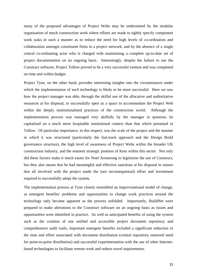many of the proposed advantages of Project Webs may be undermined by the modular organisation of much construction work where efforts are made to tightly specify component work tasks in such a manner as to reduce the need for high levels of co-ordination and collaboration amongst constituent firms in a project network, and by the absence of a single central co-ordinating actor who is charged with maintaining a complete up-to-date set of project documentation on an ongoing basis. Interestingly, despite the failure to use the Construct software, Project Tullow proved to be a very successful venture and was completed on time and within budget.

Project Tyne, on the other hand, provides interesting insights into the circumstances under which the implementation of such technology is likely to be more successful. Here we saw how the project manager was able, through the skilful use of the allocative and authoritative resources at his disposal, to successfully open us a space to accommodate the Project Web within the deeply institutionalised practices of the construction world. Although the implementation process was managed very skilfully by the manager in question, he capitalised on a much more hospitable institutional context than that which pertained in Tullow. Of particular importance, in this respect, was the scale of the project and the manner in which it was structured (particularly the fast-track approach and the Design Build governance structure), the high level of awareness of Project Webs within the broader UK construction industry, and the eminent strategic position of Kent within this sector. Not only did these factors make it much easier for Noel Armstrong to legitimise the use of Construct, but they also meant that he had meaningful and effective sanctions at his disposal to ensure that all involved with the project made the (not inconsequential) effort and investment required to successfully adopt the system.

The implementation process at Tyne closely resembled an improvisational model of change, as emergent benefits/ problems and opportunities to change work practices around the technology only became apparent as the process unfolded. Importantly, BuildNet were prepared to make alterations to the Construct software on an ongoing basis as issues and opportunities were identified in practice. As well as anticipated benefits of using the system such as the creation of one unified and accessible project document repository and comprehensive audit trails, important emergent benefits included a significant reduction in the time and effort associated with document distribution (central repository removed need for point-to-point distribution) and successful experimentation with the use of other Internetbased technologies to facilitate remote work and reduce travel requirements.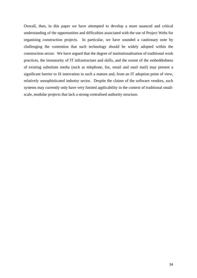Overall, then, in this paper we have attempted to develop a more nuanced and critical understanding of the opportunities and difficulties associated with the use of Project Webs for organising construction projects. In particular, we have sounded a cautionary note by challenging the contention that such technology should be widely adopted within the construction sector. We have argued that the degree of institutionalisation of traditional work practices, the immaturity of IT infrastructure and skills, and the extent of the embeddedness of existing substitute media (such as telephone, fax, email and snail mail) may present a significant barrier to IS innovation in such a mature and, from an IT adoption point of view, relatively unsophisticated industry sector. Despite the claims of the software vendors, such systems may currently only have very limited applicability in the context of traditional smallscale, modular projects that lack a strong centralised authority structure.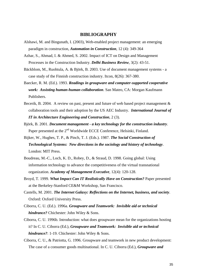#### **BIBLIOGRAPHY**

- Alshawi, M. and Bingunath, I. (2003), Web-enabled project management: an emerging paradigm in construction, *Automation in Construction*, 12 (4): 349-364
- Azhar, S., Ahmad, I. & Ahmed, S. 2002. Impact of ICT on Design and Management Processes in the Construction Industry. *Delhi Business Review*, 3(2): 43-51.
- Bäckblom, M., Ruohtula, A. & Björk, B. 2003. Use of document management systems a case study of the Finnish construction industry. Itcon, 8(26): 367-380.
- Baecker, R. M. (Ed.). 1993. *Readings in groupware and computer-supported cooperative work: Assisting human-human collaboration*. San Mateo, CA: Morgan Kaufmann Publishers.
- Becerik, B. 2004. A review on past, present and future of web based project management  $\&$ collaboration tools and their adoption by the US AEC Industry. *International Journal of IT in Architecture Engineering and Construction*, 2 (3).
- Björk, B. 2001. *Document management a key technology for the construction industry*. Paper presented at the 2<sup>nd</sup> Worldwide ECCE Conference, Helsinki, Finland.
- Bijker, W., Hughes, T. P., & Pinch, T. J. (Eds.). 1987. *The Social Construction of Technological Systems: New directions in the sociology and history of technology*. London: MIT Press.
- Boudreau, M.-C., Loch, K. D., Robey, D., & Straud, D. 1998. Going global: Using information technology to advance the competitiveness of the virtual transnational organization. *Academy of Management Executive*, 12(4): 120-128.
- Broyd, T. 1999. *What Impact Can IT Realistically Have on Construction?* Paper presented at the Berkeley-Stanford CE&M Workshop, San Francisco.
- Castells, M. 2001. *The Internet Galaxy: Reflections on the Internet, business, and society*. Oxford: Oxford University Press.
- Ciborra, C. U. (Ed.). 1996a. *Groupware and Teamwork: Invisible aid or technical hindrance?* Chichester: John Wiley & Sons.
- Ciborra, C. U. 1996b. Introduction: what does groupware mean for the organizations hosting it? In C. U. Ciborra (Ed.), *Groupware and Teamwork: Invisible aid or technical hindrance?*: 1-19. Chichester: John Wiley & Sons.
- Ciborra, C. U., & Patriotta, G. 1996. Groupware and teamwork in new product development: The case of a consumer goods multinational. In C. U. Ciborra (Ed.), *Groupware and*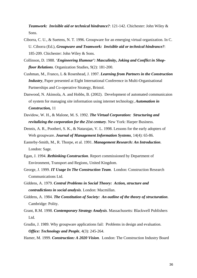*Teamwork: Invisible aid or technical hindrance?*: 121-142. Chichester: John Wiley & Sons.

- Ciborra, C. U., & Suetens, N. T. 1996. Groupware for an emerging virtual organization. In C. U. Ciborra (Ed.), *Groupware and Teamwork: Invisible aid or technical hindrance?*: 185-209. Chichester: John Wiley & Sons.
- Collinson, D. 1988. '*Engineering Humour': Masculinity, Joking and Conflict in Shopfloor Relations*. Organization Studies, 9(2): 181-200.
- Cushman, M., Franco, L & Rosenhead, J. 1997. *Learning from Partners in the Construction Industry*, Paper presented at Eight International Conference in Multi-Organisational Partnerships and Co-operative Strategy, Bristol.
- Danwood, N. Akinsola, A. and Hobbs, B. (2002). Development of automated communicaion of system for managing site information using internet technology, *Automation in Construction,* 11
- Davidow, W. H., & Malone, M. S. 1992. *The Virtual Corporation: Structuring and revitalizing the corporation for the 21st century*. New York: Harper Business.
- Dennis, A. R., Pootheri, S. K., & Natarajan, V. L. 1998. Lessons for the early adopters of Web groupware. *Journal of Management Information Systems*, 14(4): 65-86.
- Easterby-Smith, M., R. Thorpe, et al. 1991. *Management Research: An Introduction*. London: Sage.
- Egan, J. 1994. *Rethinking Construction*. Report commissioned by Department of Environment, Transport and Regions, United Kingdom.
- George, J. 1999. *IT Usage In The Construction Team*. London: Construction Research Communications Ltd.
- Giddens, A. 1979. *Central Problems in Social Theory: Action, structure and contradictions in social analysis*. London: Macmillan.
- Giddens, A. 1984. *The Constitution of Society: An outline of the theory of structuration*. Cambridge: Polity.
- Grant, R.M. 1998. *Contemporary Strategy Analysis*. Massachusetts: Blackwell Publishers Ltd.
- Grudin, J. 1989. Why groupware applications fail: Problems in design and evaluation. *Office: Technology and People*, 4(3): 245-264.

Hamer, M. 1999. *Construction: A 2020 Vision*. London: The Construction Industry Board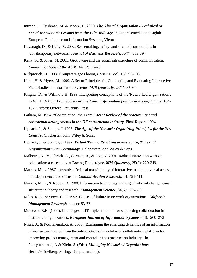- Introna, L., Cushman, M. & Moore, H. 2000. *The Virtual Organisation Technical or Social Innovation? Lessons from the Film Industry***.** Paper presented at the Eighth European Conference on Information Systems, Vienna.
- Kavanagh, D., & Kelly, S. 2002. Sensemaking, safety, and situated communities in (con)temporary networks. *Journal of Business Research*, 55(7): 583-594.
- Kelly, S., & Jones, M. 2001. Groupware and the social infrastructure of communication. *Communications of the ACM*, 44(12): 77-79.
- Kirkpatrick, D. 1993. Groupware goes boom, *Fortune*, Vol. 128: 99-103.
- Klein, H. & Myers, M. 1999. A Set of Principles for Conducting and Evaluating Interpretive Field Studies in Information Systems, *MIS Quarterly*, 23(1): 97-94.
- Knights, D., & Willmott, H. 1999. Interpreting conceptions of the 'Networked Organization'. In W. H. Dutton (Ed.), *Society on the Line: Information politics in the digital age*: 104- 107. Oxford: Oxford University Press.
- Latham, M. 1994. "Construction; the Team", *Joint Review of the procurement and contractual arrangements in the UK construction industry*, Final Report, 1994.
- Lipnack, J., & Stamps, J. 1996. *The Age of the Network: Organizing Principles for the 21st Century*. Chichester: John Wiley & Sons.
- Lipnack, J., & Stamps, J. 1997. *Virtual Teams: Reaching across Space, Time and Organizations with Technology*. Chichester: John Wiley & Sons.
- Malhotra, A., Majchrzak, A., Carman, R., & Lott, V. 2001. Radical innovation without collocation: a case study at Boeing-Rocketdyne. *MIS Quarterly*, 25(2): 229-249.
- Markus, M. L. 1987. Towards a "critical mass" theory of interactive media: universal access, interdependence and diffusion. *Communication Research*, 14: 491-511.
- Markus, M. L., & Robey, D. 1988. Information technology and organizational change: causal structure in theory and research. *Management Science*, 34(5): 583-598.
- Miles, R. E., & Snow, C. C. 1992. Causes of failure in network organizations. *California Management Review*(Summer): 53-72.
- Munkvold B.E. (1999). Challenges of IT implementation for supporting collaboration in distributed organizations, *European Journal of Information Systems* 8(4): 260–272
- Nikas, A. & Poulymenakou, A. 2005. Examining the emerging dynamics of an information infrastructure created from the introduction of a web-based collaboration platform for improving project management and control in the construction industry. In Poulymenakou, A & Klein, S. (Eds.), *Managing Networked Organizations.* Berlin/Heidelberg: Springer (in preparation).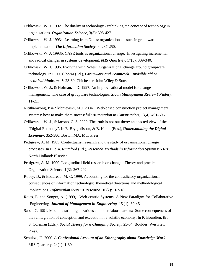- Orlikowski, W. J. 1992. The duality of technology rethinking the concept of technology in organizations. *Organization Science*, 3(3): 398-427.
- Orlikowski, W. J. 1993a. Learning from Notes: organizational issues in groupware implementation. *The Information Society*, 9: 237-250.
- Orlikowski, W. J. 1993b. CASE tools as organizational change: Investigating incremental and radical changes in systems development. *MIS Quarterly*, 17(3): 309-340.
- Orlikowski, W. J. 1996. Evolving with Notes: Organizational change around groupware technology. In C. U. Ciborra (Ed.), *Groupware and Teamwork: Invisible aid or technical hindrance?*: 23-60. Chichester: John Wiley & Sons.
- Orlikowski, W. J., & Hofman, J. D. 1997. An improvisational model for change management: The case of groupware technologies. *Sloan Management Review* (Winter): 11-21.
- Nitithamyong, P & Skibniewski, M.J. 2004. Web-based construction project management systems: how to make them successful? *Automation in Construction,* 13(4): 491-506
- Orlikowski, W. J., & Iacono, C. S. 2000. The truth is not out there: an enacted view of the "Digital Economy". In E. Brynjolfsson, & B. Kahin (Eds.), *Understanding the Digital Economy*: 352-380. Boston MA: MIT Press.
- Pettigrew, A. M. 1985. Contextualist research and the study of organisational change processes. In E. e. a. Mumford (Ed.), *Reserach Methods in Information Systems*: 53-78. North-Holland: Elsevier.
- Pettigrew, A. M. 1990. Longitudinal field research on change: Theory and practice. Organization Science, 1(3): 267-292.
- Robey, D., & Boudreau, M.-C. 1999. Accounting for the contradictory organizational consequences of information technology: theoretical directions and methodological implications. *Information Systems Research*, 10(2): 167-185.
- Rojas, E. and Songer, A. (1999). Web-centric Systems: A New Paradigm for Collaborative Engineering. *Journal of Management in Engineering*, 15 (1): 39-45
- Sabel, C. 1991. Moebius-strip organizations and open labor markets: Some consequences of the reintegration of conception and execution in a volatile economy. In P. Bourdieu, & J. S. Coleman (Eds.), *Social Theory for a Changing Society*: 23-54. Boulder: Westview Press.
- Schultze, U. 2000. *A Confessional Account of an Ethnography about Knowledge Work*. MIS Quarterly, 24(1): 1-39.